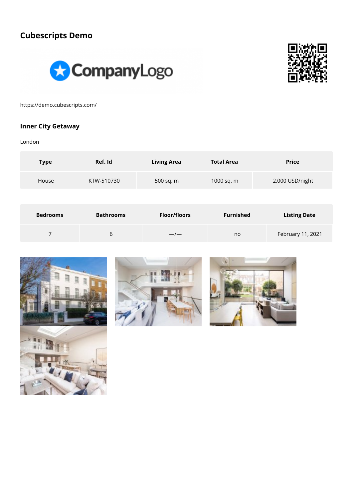# **Cubescripts Demo**





https://demo.cubescripts.com/

#### **Inner City Getaway**

London

| <b>Type</b>     | Ref. Id          | <b>Living Area</b>  | <b>Total Area</b> | <b>Price</b>        |
|-----------------|------------------|---------------------|-------------------|---------------------|
| House           | KTW-510730       | 500 sq. m           | 1000 sq. m        | 2,000 USD/night     |
|                 |                  |                     |                   |                     |
| <b>Bedrooms</b> | <b>Bathrooms</b> | <b>Floor/floors</b> | <b>Furnished</b>  | <b>Listing Date</b> |
| 7               | 6                |                     | no                | February 11, 2021   |





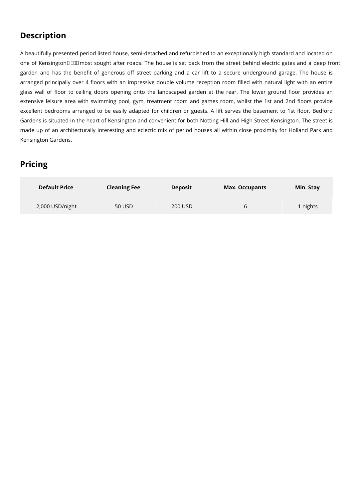## **Description**

A beautifully presented period listed house, semi-detached and refurbished to an exceptionally high standard and located on one of Kensington  $\Box\Box$  most sought after roads. The house is set back from the street behind electric gates and a deep front garden and has the benefit of generous off street parking and a car lift to a secure underground garage. The house is arranged principally over 4 floors with an impressive double volume reception room filled with natural light with an entire glass wall of floor to ceiling doors opening onto the landscaped garden at the rear. The lower ground floor provides an extensive leisure area with swimming pool, gym, treatment room and games room, whilst the 1st and 2nd floors provide excellent bedrooms arranged to be easily adapted for children or guests. A lift serves the basement to 1st floor. Bedford Gardens is situated in the heart of Kensington and convenient for both Notting Hill and High Street Kensington. The street is made up of an architecturally interesting and eclectic mix of period houses all within close proximity for Holland Park and Kensington Gardens.

## **Pricing**

| <b>Default Price</b> | <b>Cleaning Fee</b> | <b>Deposit</b> | <b>Max. Occupants</b> | Min. Stay |
|----------------------|---------------------|----------------|-----------------------|-----------|
| 2,000 USD/night      | 50 USD              | 200 USD        |                       | nights    |